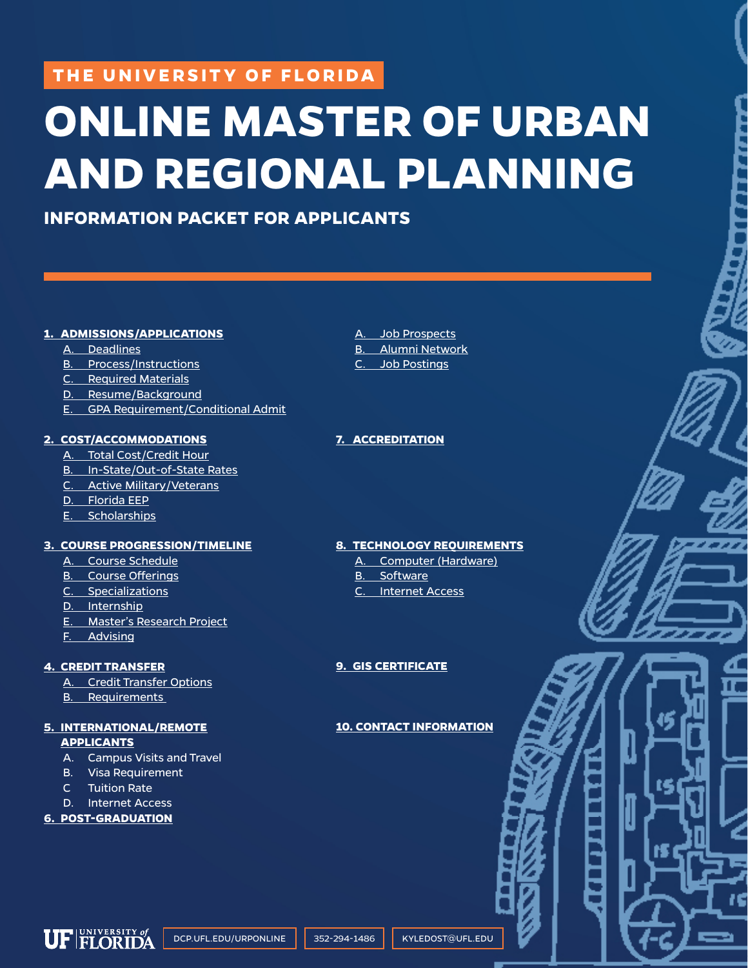**THE UNIVERSITY OF FLORIDA**

# **ONLINE MASTER OF URBAN AND REGIONAL PLANNING**

**INFORMATION PACKET FOR APPLICANTS**

## **1. [ADMISSIONS/APPLICATIONS](#page-1-0)**

- A. [Deadlines](#page-1-0)
- B. [Process/Instructions](#page-1-0)
- C. [Required Materials](#page-1-0)
- D. [Resume/Background](#page-1-0)
- [E. GPA Requirement/Conditional Admit](#page-1-0)

## **2. [COST/ACCOMMODATIONS](#page-2-0)**

- A. [Total Cost/Credit Hour](#page-2-0)
- B. [In-State/Out-of-State Rates](#page-2-0)
- C. [Active Military/Veterans](#page-2-0)
- D. [Florida EEP](#page-2-0)
- E. [Scholarships](#page-2-0)

## **3. [COURSE PROGRESSION/TIMELINE](#page-3-0)**

- A. [Course Schedule](#page-3-0)
- B. [Course Offerings](#page-3-0)
- C. [Specializations](#page-3-0)
- D. [Internship](#page-3-0)
- E. [Master's Research Project](#page-3-0)
- F. [Advising](#page-4-0)

## **4. [CREDIT TRANSFER](#page-4-0)**

- A. [Credit Transfer Options](#page-4-0)
- B. [Requirements](#page-4-0)

## **5. [INTERNATIONAL/REMOTE](#page-4-0) [APPLICANTS](#page-4-0)**

- A. [Campus Visits and Travel](#page-4-0)
- B. [Visa Requirement](#page-4-0)
- C [Tuition Rate](#page-4-0)
- D. [Internet Access](#page-4-0)
- **6. [POST-GRADUATION](#page-5-0)**
- A. [Job Prospects](#page-5-0)
- B. [Alumni Network](#page-5-0)
- C. [Job Postings](#page-5-0)

# **7. [ACCREDITATION](#page-5-0)**

## **8. [TECHNOLOGY REQUIREMENTS](#page-6-0)**

- A. [Computer \(Hardware\)](#page-6-0)
- B. [Software](#page-6-0)
- C. [Internet Access](#page-6-0)

## **9. [GIS CERTIFICATE](#page-6-0)**

## **[10. CONTACT INFORMATION](#page-6-0)**

UF FLORIDA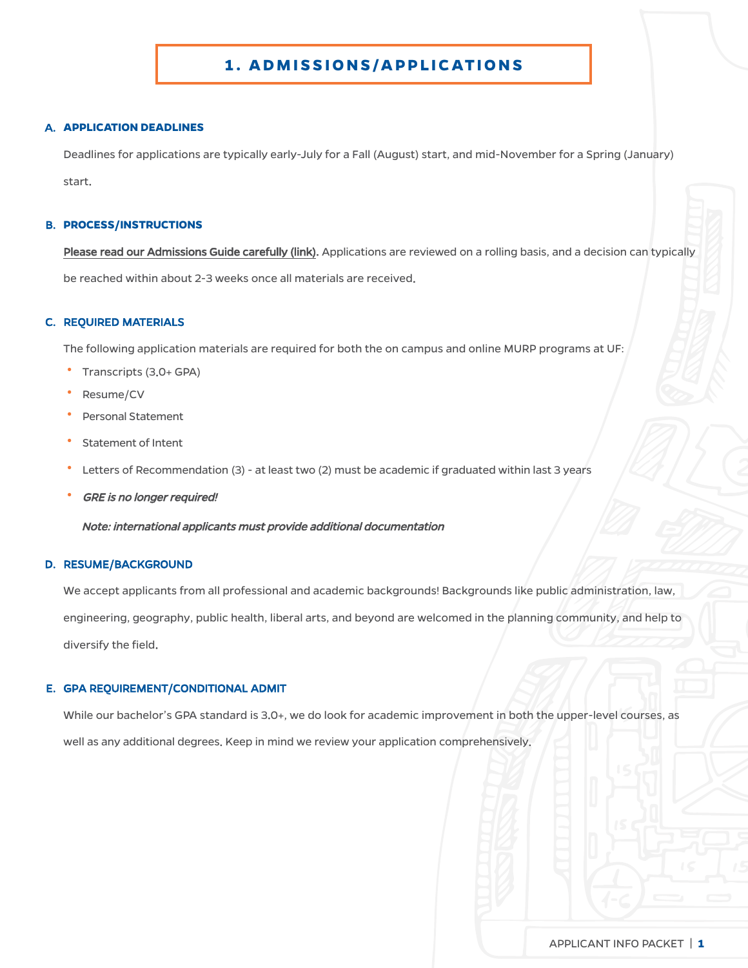# **1. ADMISSIONS/APPLICATIONS**

#### <span id="page-1-0"></span>A. **APPLICATION DEADLINES**

Deadlines for applications are typically early-July for a Fall (August) start, and mid-November for a Spring (January) start.

## B. **PROCESS/INSTRUCTIONS**

[Please read our Admissions Guide carefully \(link\).](https://bit.ly/3n0B1eY) Applications are reviewed on a rolling basis, and a decision can typically be reached within about 2-3 weeks once all materials are received.

#### C. REQUIRED MATERIALS

The following application materials are required for both the on campus and online MURP programs at UF:

- Transcripts (3.0+ GPA)
- Resume/CV
- Personal Statement
- Statement of Intent
- Letters of Recommendation (3) at least two (2) must be academic if graduated within last 3 years
- GRE is no longer required!

Note: international applicants must provide additional documentation

#### D. RESUME/BACKGROUND

We accept applicants from all professional and academic backgrounds! Backgrounds like public administration, law, engineering, geography, public health, liberal arts, and beyond are welcomed in the planning community, and help to diversify the field.

#### E. GPA REQUIREMENT/CONDITIONAL ADMIT

While our bachelor's GPA standard is 3.0+, we do look for academic improvement in both the upper-level courses, as well as any additional degrees. Keep in mind we review your application comprehensively.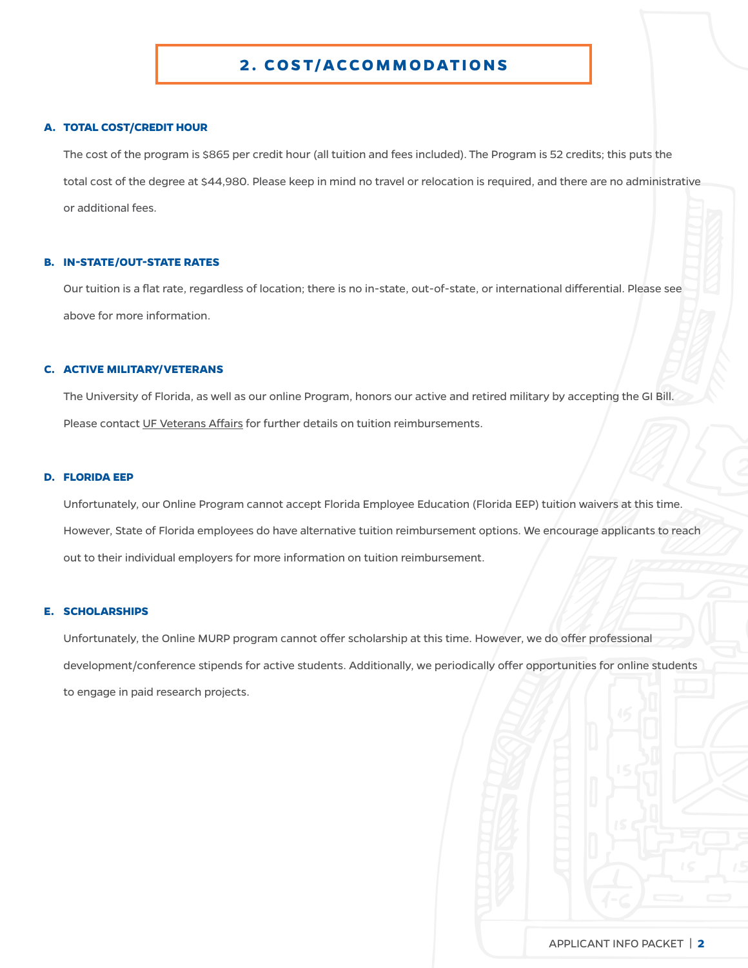# **2. COST/ACCOMMODATIONS**

#### <span id="page-2-0"></span>**A. TOTAL COST/CREDIT HOUR**

The cost of the program is \$865 per credit hour (all tuition and fees included). The Program is 52 credits; this puts the total cost of the degree at \$44,980. Please keep in mind no travel or relocation is required, and there are no administrative or additional fees.

#### **B. IN-STATE/OUT-STATE RATES**

Our tuition is a flat rate, regardless of location; there is no in-state, out-of-state, or international differential. Please see above for more information.

#### **C. ACTIVE MILITARY/VETERANS**

The University of Florida, as well as our online Program, honors our active and retired military by accepting the GI Bill. Please contact [UF Veterans Affairs](http://veterans.ufl.edu/) for further details on tuition reimbursements.

#### **D. FLORIDA EEP**

Unfortunately, our Online Program cannot accept Florida Employee Education (Florida EEP) tuition waivers at this time. However, State of Florida employees do have alternative tuition reimbursement options. We encourage applicants to reach out to their individual employers for more information on tuition reimbursement.

#### **E. SCHOLARSHIPS**

Unfortunately, the Online MURP program cannot offer scholarship at this time. However, we do offer professional development/conference stipends for active students. Additionally, we periodically offer opportunities for online students to engage in paid research projects.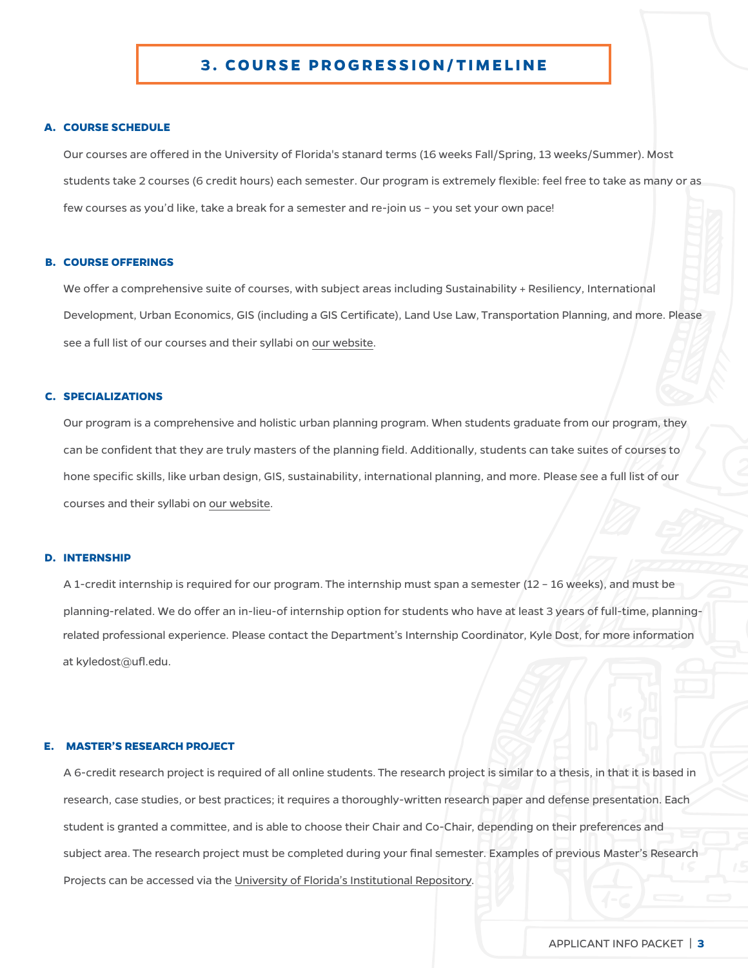## **3. COURSE PROGRESSION/TIMELINE**

#### <span id="page-3-0"></span>**A. COURSE SCHEDULE**

Our courses are offered in the University of Florida's stanard terms (16 weeks Fall/Spring, 13 weeks/Summer). Most students take 2 courses (6 credit hours) each semester. Our program is extremely flexible: feel free to take as many or as few courses as you'd like, take a break for a semester and re-join us - you set your own pace!

#### **B. COURSE OFFERINGS**

We offer a comprehensive suite of courses, with subject areas including Sustainability + Resiliency, International Development, Urban Economics, GIS (including a GIS Certificate), Land Use Law, Transportation Planning, and more. Please see a full list of our courses and their syllabi on our website.

#### **C. SPECIALIZATIONS**

Our program is a comprehensive and holistic urban planning program. When students graduate from our program, they can be confident that they are truly masters of the planning field. Additionally, students can take suites of courses to hone specific skills, like urban design, GIS, sustainability, international planning, and more. Please see a full list of our courses and their syllabi on our website.

#### **D. INTERNSHIP**

A 1-credit internship is required for our program. The internship must span a semester (12 - 16 weeks), and must be planning-related. We do offer an in-lieu-of internship option for students who have at least 3 years of full-time, planningrelated professional experience. Please contact the Department's Internship Coordinator, Kyle Dost, for more information at kyledost@ufl.edu.

#### **E. MASTER'S RESEARCH PROJECT**

A 6-credit research project is required of all online students. The research project is similar to a thesis, in that it is based in research, case studies, or best practices; it requires a thoroughly-written research paper and defense presentation. Each student is granted a committee, and is able to choose their Chair and Co-Chair, depending on their preferences and subject area. The research project must be completed during your final semester. Examples of previous Master's Research Projects can be accessed via the [University of Florida's Institutional Repository.](https://ufdc.ufl.edu/ufirg/results/?t=%22urban%20and%20regional%20planning%20terminal%20project%22&t=%22urban%20and%20regional%20planning%20terminal%20project%22)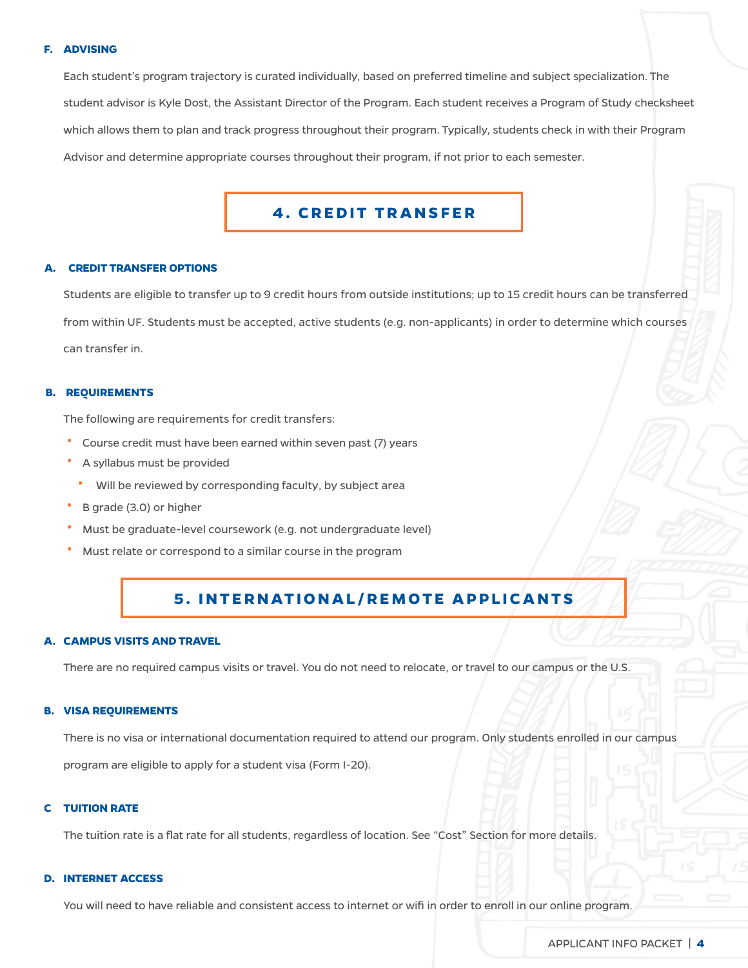#### <span id="page-4-0"></span>**F. ADVISING**

Each student's program trajectory is curated individually, based on preferred timeline and subject specialization. The student advisor is Kyle Dost, the Assistant Director of the Program. Each student receives a Program of Study checksheet which allows them to plan and track progress throughout their program. Typically, students check in with their Program Advisor and determine appropriate courses throughout their program, if not prior to each semester.

# **4. CREDIT TRANSFER**

#### **A. CREDIT TRANSFER OPTIONS**

Students are eligible to transfer up to 9 credit hours from outside institutions; up to 15 credit hours can be transferred from within UF. Students must be accepted, active students (e.g. non-applicants) in order to determine which courses can transfer in.

#### **B. REQUIREMENTS**

The following are requirements for credit transfers:

- Course credit must have been earned within seven past (7) years
- A syllabus must be provided
- Will be reviewed by corresponding faculty, by subject area
- B grade (3.0) or higher
- Must be graduate-level coursework (e.g. not undergraduate level)
- Must relate or correspond to a similar course in the program

# **5. INTERNATIONAL/REMOTE APPLICANTS**

#### **A. CAMPUS VISITS AND TRAVEL**

There are no required campus visits or travel. You do not need to relocate, or travel to our campus or the U.S.

#### **B. VISA REQUIREMENTS**

There is no visa or international documentation required to attend our program. Only students enrolled in our campus program are eligible to apply for a student visa (Form I-20).

#### **C TUITION RATE**

The tuition rate is a flat rate for all students, regardless of location. See "Cost" Section for more details.

#### **D. INTERNET ACCESS**

You will need to have reliable and consistent access to internet or wifi in order to enroll in our online program.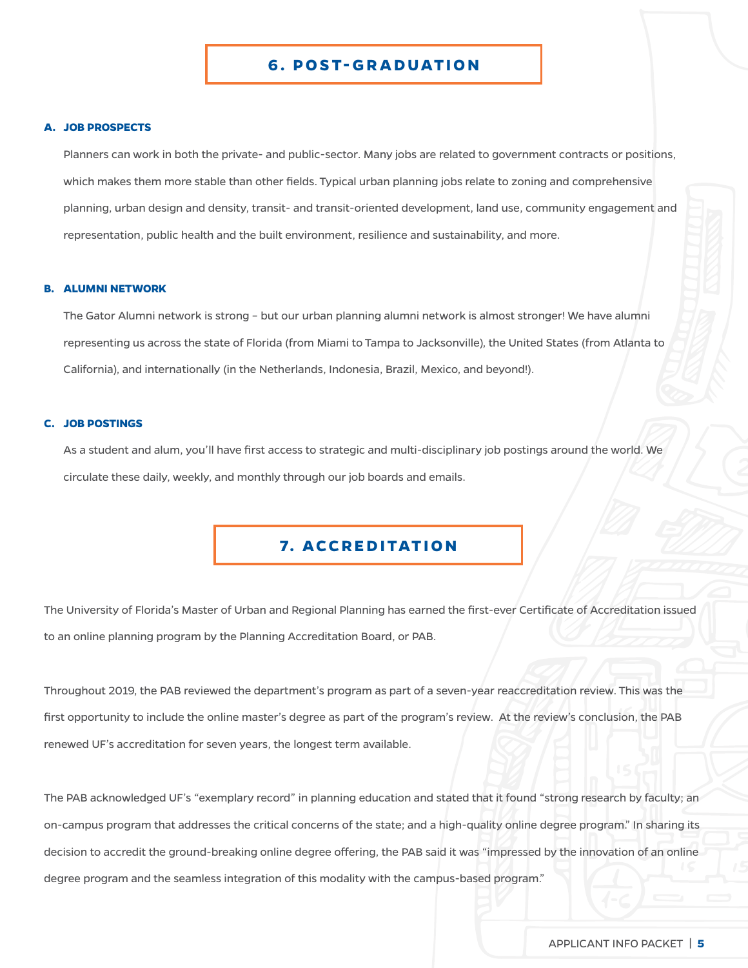# **6. POST-GRADUATION**

#### <span id="page-5-0"></span>**A. JOB PROSPECTS**

Planners can work in both the private- and public-sector. Many jobs are related to government contracts or positions, which makes them more stable than other fields. Typical urban planning jobs relate to zoning and comprehensive planning, urban design and density, transit- and transit-oriented development, land use, community engagement and representation, public health and the built environment, resilience and sustainability, and more.

#### **B. ALUMNI NETWORK**

The Gator Alumni network is strong – but our urban planning alumni network is almost stronger! We have alumni representing us across the state of Florida (from Miami to Tampa to Jacksonville), the United States (from Atlanta to California), and internationally (in the Netherlands, Indonesia, Brazil, Mexico, and beyond!).

#### **C. JOB POSTINGS**

As a student and alum, you'll have first access to strategic and multi-disciplinary job postings around the world. We circulate these daily, weekly, and monthly through our job boards and emails.

# **7. ACCREDITATION**

The University of Florida's Master of Urban and Regional Planning has earned the first-ever Certificate of Accreditation issued to an online planning program by the Planning Accreditation Board, or PAB.

Throughout 2019, the PAB reviewed the department's program as part of a seven-year reaccreditation review. This was the first opportunity to include the online master's degree as part of the program's review. At the review's conclusion, the PAB renewed UF's accreditation for seven years, the longest term available.

The PAB acknowledged UF's "exemplary record" in planning education and stated that it found "strong research by faculty; an on-campus program that addresses the critical concerns of the state; and a high-quality online degree program." In sharing its decision to accredit the ground-breaking online degree offering, the PAB said it was "impressed by the innovation of an online degree program and the seamless integration of this modality with the campus-based program."